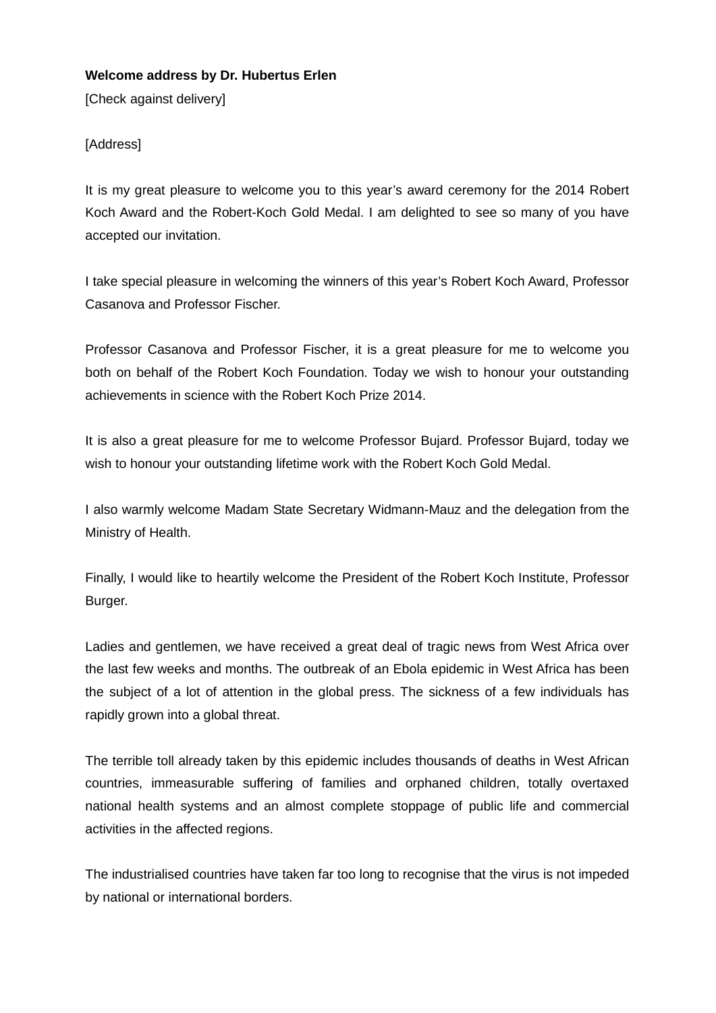## **Welcome address by Dr. Hubertus Erlen**

[Check against delivery]

## [Address]

It is my great pleasure to welcome you to this year's award ceremony for the 2014 Robert Koch Award and the Robert-Koch Gold Medal. I am delighted to see so many of you have accepted our invitation.

I take special pleasure in welcoming the winners of this year's Robert Koch Award, Professor Casanova and Professor Fischer.

Professor Casanova and Professor Fischer, it is a great pleasure for me to welcome you both on behalf of the Robert Koch Foundation. Today we wish to honour your outstanding achievements in science with the Robert Koch Prize 2014.

It is also a great pleasure for me to welcome Professor Bujard. Professor Bujard, today we wish to honour your outstanding lifetime work with the Robert Koch Gold Medal.

I also warmly welcome Madam State Secretary Widmann-Mauz and the delegation from the Ministry of Health.

Finally, I would like to heartily welcome the President of the Robert Koch Institute, Professor Burger.

Ladies and gentlemen, we have received a great deal of tragic news from West Africa over the last few weeks and months. The outbreak of an Ebola epidemic in West Africa has been the subject of a lot of attention in the global press. The sickness of a few individuals has rapidly grown into a global threat.

The terrible toll already taken by this epidemic includes thousands of deaths in West African countries, immeasurable suffering of families and orphaned children, totally overtaxed national health systems and an almost complete stoppage of public life and commercial activities in the affected regions.

The industrialised countries have taken far too long to recognise that the virus is not impeded by national or international borders.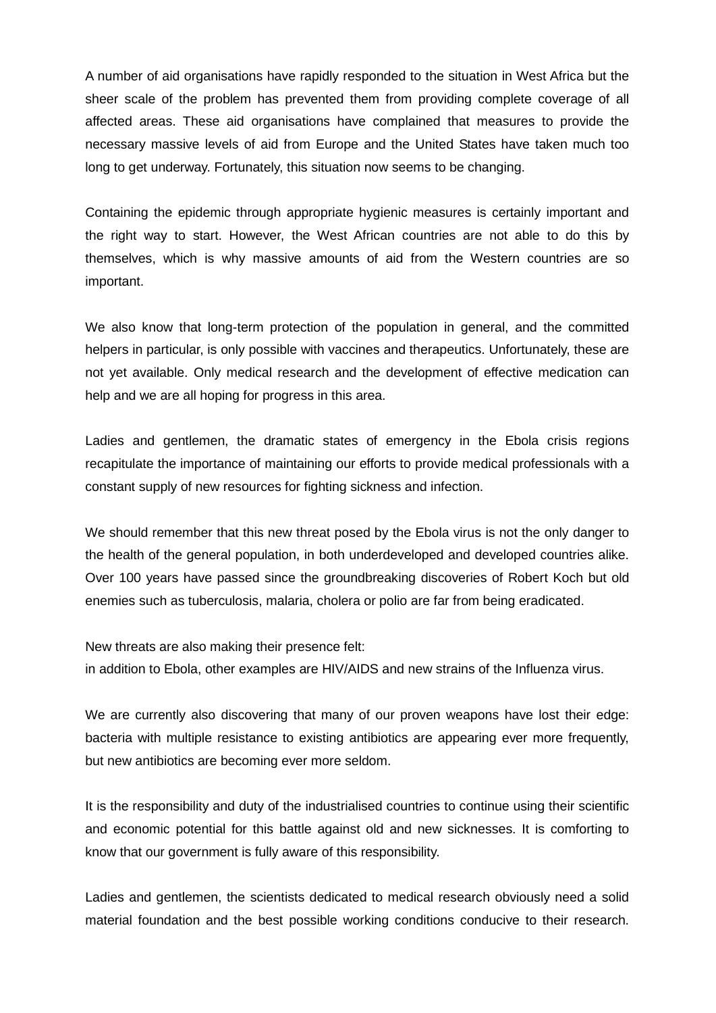A number of aid organisations have rapidly responded to the situation in West Africa but the sheer scale of the problem has prevented them from providing complete coverage of all affected areas. These aid organisations have complained that measures to provide the necessary massive levels of aid from Europe and the United States have taken much too long to get underway. Fortunately, this situation now seems to be changing.

Containing the epidemic through appropriate hygienic measures is certainly important and the right way to start. However, the West African countries are not able to do this by themselves, which is why massive amounts of aid from the Western countries are so important.

We also know that long-term protection of the population in general, and the committed helpers in particular, is only possible with vaccines and therapeutics. Unfortunately, these are not yet available. Only medical research and the development of effective medication can help and we are all hoping for progress in this area.

Ladies and gentlemen, the dramatic states of emergency in the Ebola crisis regions recapitulate the importance of maintaining our efforts to provide medical professionals with a constant supply of new resources for fighting sickness and infection.

We should remember that this new threat posed by the Ebola virus is not the only danger to the health of the general population, in both underdeveloped and developed countries alike. Over 100 years have passed since the groundbreaking discoveries of Robert Koch but old enemies such as tuberculosis, malaria, cholera or polio are far from being eradicated.

New threats are also making their presence felt:

in addition to Ebola, other examples are HIV/AIDS and new strains of the Influenza virus.

We are currently also discovering that many of our proven weapons have lost their edge: bacteria with multiple resistance to existing antibiotics are appearing ever more frequently, but new antibiotics are becoming ever more seldom.

It is the responsibility and duty of the industrialised countries to continue using their scientific and economic potential for this battle against old and new sicknesses. It is comforting to know that our government is fully aware of this responsibility.

Ladies and gentlemen, the scientists dedicated to medical research obviously need a solid material foundation and the best possible working conditions conducive to their research.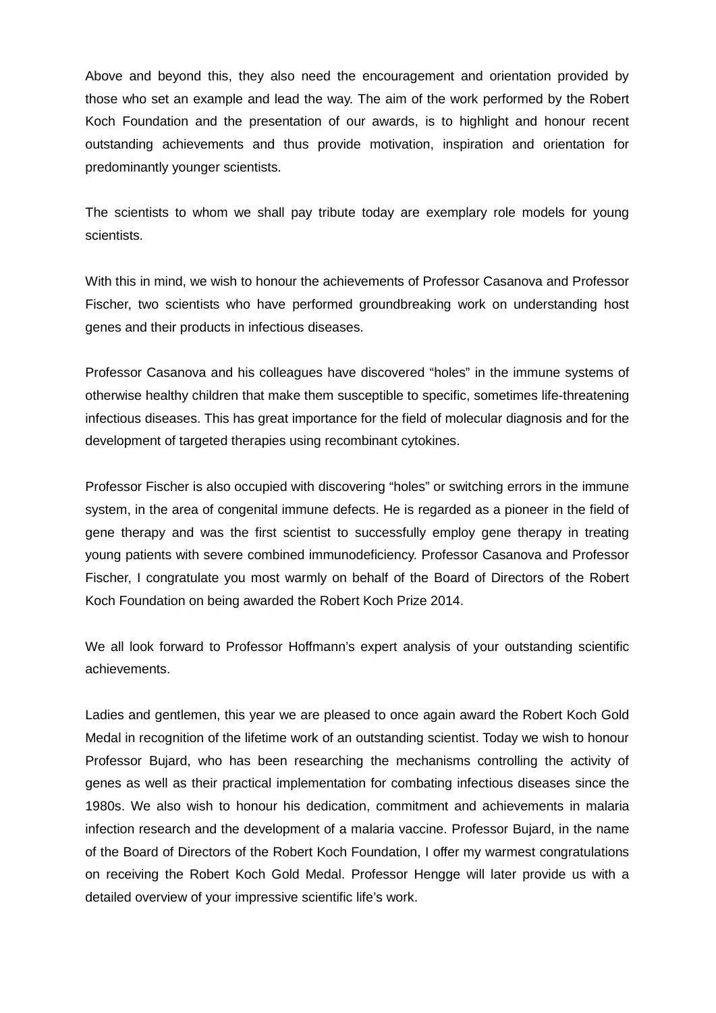Above and beyond this, they also need the encouragement and orientation provided by those who set an example and lead the way. The aim of the work performed by the Robert Koch Foundation and the presentation of our awards, is to highlight and honour recent outstanding achievements and thus provide motivation, inspiration and orientation for predominantly younger scientists.

The scientists to whom we shall pay tribute today are exemplary role models for young scientists.

With this in mind, we wish to honour the achievements of Professor Casanova and Professor Fischer, two scientists who have performed groundbreaking work on understanding host genes and their products in infectious diseases.

Professor Casanova and his colleagues have discovered "holes" in the immune systems of otherwise healthy children that make them susceptible to specific, sometimes life-threatening infectious diseases. This has great importance for the field of molecular diagnosis and for the development of targeted therapies using recombinant cytokines.

Professor Fischer is also occupied with discovering "holes" or switching errors in the immune system, in the area of congenital immune defects. He is regarded as a pioneer in the field of gene therapy and was the first scientist to successfully employ gene therapy in treating young patients with severe combined immunodeficiency. Professor Casanova and Professor Fischer, I congratulate you most warmly on behalf of the Board of Directors of the Robert Koch Foundation on being awarded the Robert Koch Prize 2014.

We all look forward to Professor Hoffmann's expert analysis of your outstanding scientific achievements.

Ladies and gentlemen, this year we are pleased to once again award the Robert Koch Gold Medal in recognition of the lifetime work of an outstanding scientist. Today we wish to honour Professor Bujard, who has been researching the mechanisms controlling the activity of genes as well as their practical implementation for combating infectious diseases since the 1980s. We also wish to honour his dedication, commitment and achievements in malaria infection research and the development of a malaria vaccine. Professor Bujard, in the name of the Board of Directors of the Robert Koch Foundation, I offer my warmest congratulations on receiving the Robert Koch Gold Medal. Professor Hengge will later provide us with a detailed overview of your impressive scientific life's work.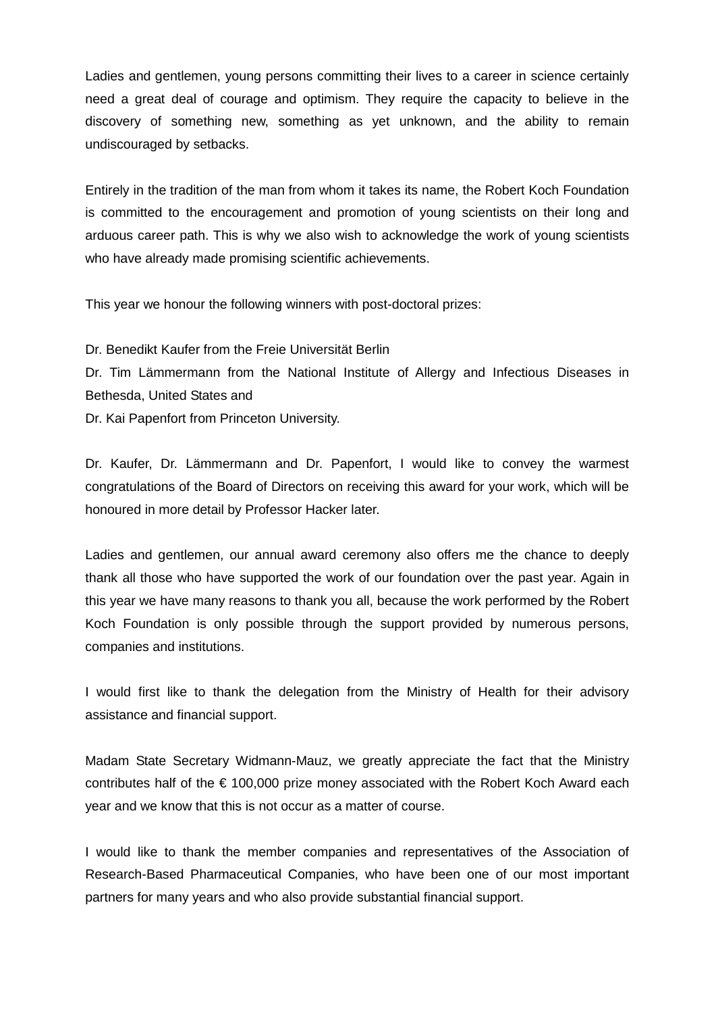Ladies and gentlemen, young persons committing their lives to a career in science certainly need a great deal of courage and optimism. They require the capacity to believe in the discovery of something new, something as yet unknown, and the ability to remain undiscouraged by setbacks.

Entirely in the tradition of the man from whom it takes its name, the Robert Koch Foundation is committed to the encouragement and promotion of young scientists on their long and arduous career path. This is why we also wish to acknowledge the work of young scientists who have already made promising scientific achievements.

This year we honour the following winners with post-doctoral prizes:

Dr. Benedikt Kaufer from the Freie Universität Berlin

Dr. Tim Lämmermann from the National Institute of Allergy and Infectious Diseases in Bethesda, United States and

Dr. Kai Papenfort from Princeton University.

Dr. Kaufer, Dr. Lämmermann and Dr. Papenfort, I would like to convey the warmest congratulations of the Board of Directors on receiving this award for your work, which will be honoured in more detail by Professor Hacker later.

Ladies and gentlemen, our annual award ceremony also offers me the chance to deeply thank all those who have supported the work of our foundation over the past year. Again in this year we have many reasons to thank you all, because the work performed by the Robert Koch Foundation is only possible through the support provided by numerous persons, companies and institutions.

I would first like to thank the delegation from the Ministry of Health for their advisory assistance and financial support.

Madam State Secretary Widmann-Mauz, we greatly appreciate the fact that the Ministry contributes half of the  $\epsilon$  100,000 prize money associated with the Robert Koch Award each year and we know that this is not occur as a matter of course.

I would like to thank the member companies and representatives of the Association of Research-Based Pharmaceutical Companies, who have been one of our most important partners for many years and who also provide substantial financial support.